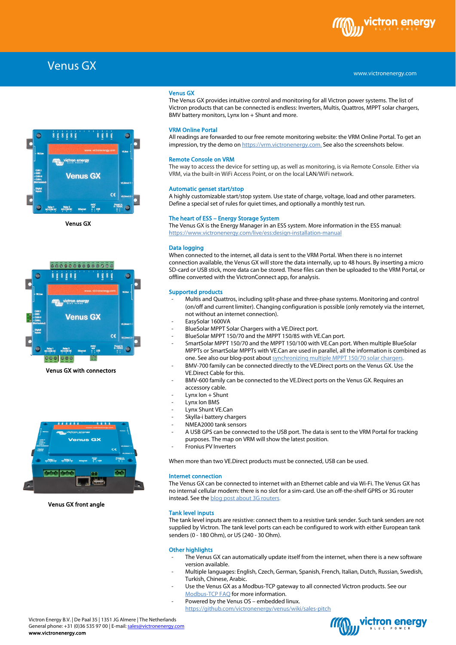

www.victronenergy.com

### Venus GX



Venus GX



Venus GX with connectors



Venus GX front angle

**Venus GX**<br>The Venus<br>Mistran av The Venus GX provides intuitive control and monitoring for all Victron power systems. The list of Victron products that can be connected is endless: Inverters, Multis, Quattros, MPPT solar chargers, BMV battery monitors, Lynx Ion + Shunt and more.

### VRM Online Portal

All readings are forwarded to our free remote monitoring website: the VRM Online Portal. To get an impression, try the demo o[n https://vrm.victronenergy.com.](https://vrm.victronenergy.com/) See also the screenshots below.

#### Remote Console on VRM

The way to access the device for setting up, as well as monitoring, is via Remote Console. Either via VRM, via the built-in WiFi Access Point, or on the local LAN/WiFi network.

#### Automatic genset start/stop

A highly customizable start/stop system. Use state of charge, voltage, load and other parameters. Define a special set of rules for quiet times, and optionally a monthly test run.

#### The heart of ESS – Energy Storage System

The Venus GX is the Energy Manager in an ESS system. More information in the ESS manual: <https://www.victronenergy.com/live/ess:design-installation-manual>

#### Data logging

When connected to the internet, all data is sent to the VRM Portal. When there is no internet connection available, the Venus GX will store the data internally, up to 48 hours. By inserting a micro SD-card or USB stick, more data can be stored. These files can then be uploaded to the VRM Portal, or offline converted with the VictronConnect app, for analysis.

#### Supported products

- Multis and Quattros, including split-phase and three-phase systems. Monitoring and control (on/off and current limiter). Changing configuration is possible (only remotely via the internet, not without an internet connection).
- EasySolar 1600VA
- BlueSolar MPPT Solar Chargers with a VE.Direct port.
- BlueSolar MPPT 150/70 and the MPPT 150/85 with VE.Can port.
- SmartSolar MPPT 150/70 and the MPPT 150/100 with VE.Can port. When multiple BlueSolar MPPTs or SmartSolar MPPTs with VE.Can are used in parallel, all the information is combined as one. See also our blog-post about synchronizing multiple MPPT 150/70 solar chargers.
- BMV-700 family can be connected directly to the VE.Direct ports on the Venus GX. Use the VE.Direct Cable for this.
- BMV-600 family can be connected to the VE.Direct ports on the Venus GX. Requires an accessory cable.
- Lynx Ion + Shunt
- Lynx Ion BMS
- Lynx Shunt VE.Can
- Skylla-i battery chargers
- NMEA2000 tank sensors
- A USB GPS can be connected to the USB port. The data is sent to the VRM Portal for tracking purposes. The map on VRM will show the latest position.
- Fronius PV Inverters

When more than two VE.Direct products must be connected, USB can be used.

#### Internet connection

The Venus GX can be connected to internet with an Ethernet cable and via Wi-Fi. The Venus GX has no internal cellular modem: there is no slot for a sim-card. Use an off-the-shelf GPRS or 3G router instead. See the **blog** post about 3G routers.

#### Tank level inputs

The tank level inputs are resistive: connect them to a resistive tank sender. Such tank senders are not supplied by Victron. The tank level ports can each be configured to work with either European tank senders (0 - 180 Ohm), or US (240 - 30 Ohm).

#### Other highlights

- The Venus GX can automatically update itself from the internet, when there is a new software version available.
- Multiple languages: English, Czech, German, Spanish, French, Italian, Dutch, Russian, Swedish, Turkish, Chinese, Arabic.
- Use the Venus GX as a Modbus-TCP gateway to all connected Victron products. See our [Modbus-TCP FAQ](http://www.victronenergy.com/live/ccgx:modbustcp_faq) for more information.
- Powered by the Venus OS embedded linux.
	- <https://github.com/victronenergy/venus/wiki/sales-pitch>

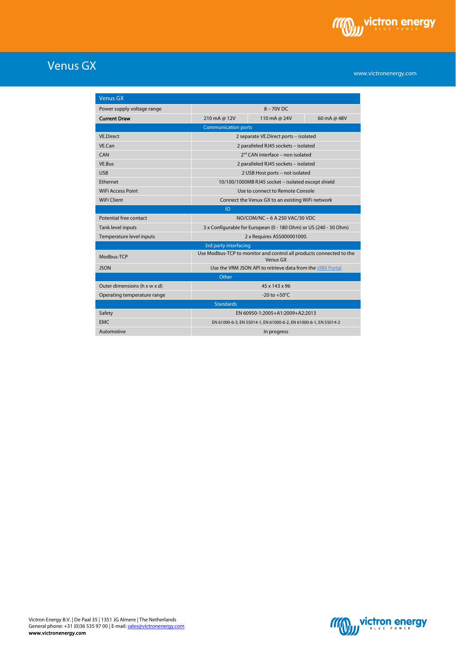

# Venus GX

www.victronenergy.com

| <b>Venus GX</b>              |                                                                                 |               |             |
|------------------------------|---------------------------------------------------------------------------------|---------------|-------------|
| Power supply voltage range   | $8 - 70V$ DC                                                                    |               |             |
| <b>Current Draw</b>          | 210 mA @ 12V                                                                    | 110 mA @ 24V  | 60 mA @ 48V |
| <b>Communication ports</b>   |                                                                                 |               |             |
| <b>VE.Direct</b>             | 2 separate VE.Direct ports - isolated                                           |               |             |
| VF Can                       | 2 paralleled RJ45 sockets - isolated                                            |               |             |
| CAN                          | 2 <sup>nd</sup> CAN interface - non isolated                                    |               |             |
| VE.Bus                       | 2 paralleled RJ45 sockets - isolated                                            |               |             |
| <b>USB</b>                   | 2 USB Host ports - not isolated                                                 |               |             |
| Ethernet                     | 10/100/1000MB RJ45 socket - isolated except shield                              |               |             |
| <b>WiFi Access Point</b>     | Use to connect to Remote Console                                                |               |             |
| <b>WiFi Client</b>           | Connect the Venux GX to an existing WiFi network                                |               |             |
| IO                           |                                                                                 |               |             |
| Potential free contact       | NO/COM/NC - 6 A 250 VAC/30 VDC                                                  |               |             |
| Tank level inputs            | 3 x Configurable for European (0 - 180 Ohm) or US (240 - 30 Ohm)                |               |             |
| Temperature level inputs     | 2 x Requires ASS000001000.                                                      |               |             |
| 3rd party interfacing        |                                                                                 |               |             |
| Modbus-TCP                   | Use Modbus-TCP to monitor and control all products connected to the<br>Venus GX |               |             |
| <b>JSON</b>                  | Use the VRM JSON API to retrieve data from the VRM Portal                       |               |             |
| Other                        |                                                                                 |               |             |
| Outer dimensions (h x w x d) |                                                                                 | 45 x 143 x 96 |             |
| Operating temperature range  | -20 to $+50^{\circ}$ C                                                          |               |             |
| <b>Standards</b>             |                                                                                 |               |             |
| Safety                       | EN 60950-1:2005+A1:2009+A2:2013                                                 |               |             |
| <b>EMC</b>                   | EN 61000-6-3, EN 55014-1, EN 61000-6-2, EN 61000-6-1, EN 55014-2                |               |             |
| Automotive                   | In progress                                                                     |               |             |